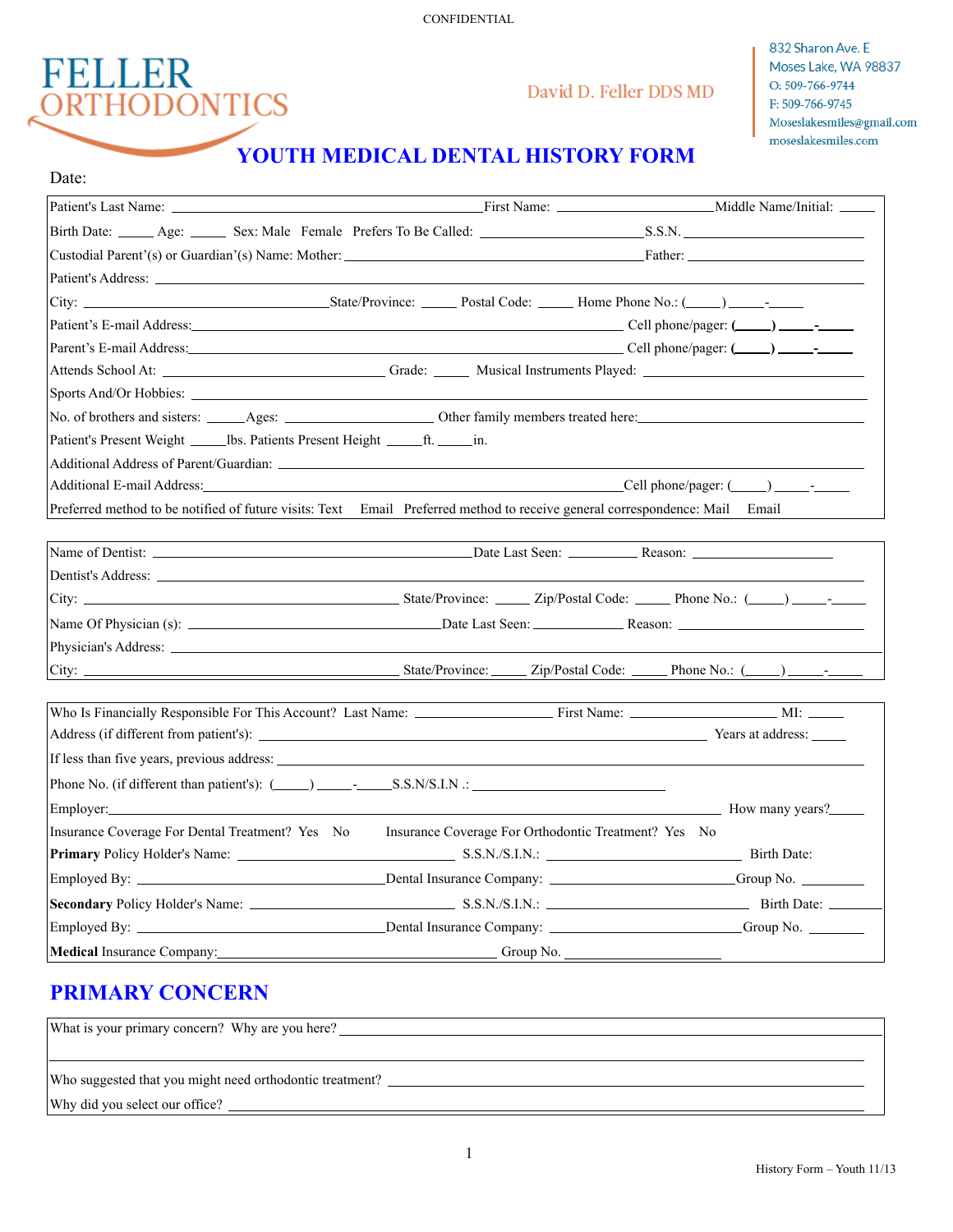CONFIDENTIAL



## David D. Feller DDS MD

832 Sharon Ave. E Moses Lake, WA 98837 O: 509-766-9744 F: 509-766-9745 Moseslakesmiles@gmail.com moseslakesmiles.com

# **YOUTH MEDICAL DENTAL HISTORY FORM**

| Date:                                                                                                                                                                                                                          |                                                      |  |
|--------------------------------------------------------------------------------------------------------------------------------------------------------------------------------------------------------------------------------|------------------------------------------------------|--|
|                                                                                                                                                                                                                                |                                                      |  |
|                                                                                                                                                                                                                                |                                                      |  |
|                                                                                                                                                                                                                                |                                                      |  |
| Patient's Address: <u>Alexander Communication</u> Communication and Communication Communication Communication Communication                                                                                                    |                                                      |  |
|                                                                                                                                                                                                                                |                                                      |  |
|                                                                                                                                                                                                                                |                                                      |  |
|                                                                                                                                                                                                                                |                                                      |  |
|                                                                                                                                                                                                                                |                                                      |  |
|                                                                                                                                                                                                                                |                                                      |  |
|                                                                                                                                                                                                                                |                                                      |  |
| Patient's Present Weight ______ lbs. Patients Present Height _______ ft. ______ in.                                                                                                                                            |                                                      |  |
|                                                                                                                                                                                                                                |                                                      |  |
|                                                                                                                                                                                                                                |                                                      |  |
| Preferred method to be notified of future visits: Text Email Preferred method to receive general correspondence: Mail Email                                                                                                    |                                                      |  |
|                                                                                                                                                                                                                                |                                                      |  |
|                                                                                                                                                                                                                                |                                                      |  |
|                                                                                                                                                                                                                                |                                                      |  |
|                                                                                                                                                                                                                                |                                                      |  |
|                                                                                                                                                                                                                                |                                                      |  |
|                                                                                                                                                                                                                                |                                                      |  |
|                                                                                                                                                                                                                                |                                                      |  |
|                                                                                                                                                                                                                                |                                                      |  |
| Who Is Financially Responsible For This Account? Last Name: First Name: Name: NI: MI: _____________ MI:                                                                                                                        |                                                      |  |
|                                                                                                                                                                                                                                |                                                      |  |
|                                                                                                                                                                                                                                |                                                      |  |
| Phone No. (if different than patient's): $(\_\_\_\_\_\_\_\_$ . S.S.N/S.I.N .:                                                                                                                                                  |                                                      |  |
| Employer: How many years?                                                                                                                                                                                                      |                                                      |  |
| Insurance Coverage For Dental Treatment? Yes No                                                                                                                                                                                | Insurance Coverage For Orthodontic Treatment? Yes No |  |
|                                                                                                                                                                                                                                |                                                      |  |
|                                                                                                                                                                                                                                |                                                      |  |
|                                                                                                                                                                                                                                |                                                      |  |
|                                                                                                                                                                                                                                |                                                      |  |
| Medical Insurance Company: Camera Company Company Company Company Company Company Company Company Company Company Company Company Company Company Company Company Company Company Company Company Company Company Company Comp |                                                      |  |

# **PRIMARY CONCERN**

| What is your primary concern? Why are you here?          |  |  |
|----------------------------------------------------------|--|--|
|                                                          |  |  |
| Who suggested that you might need orthodontic treatment? |  |  |
| Why did you select our office?                           |  |  |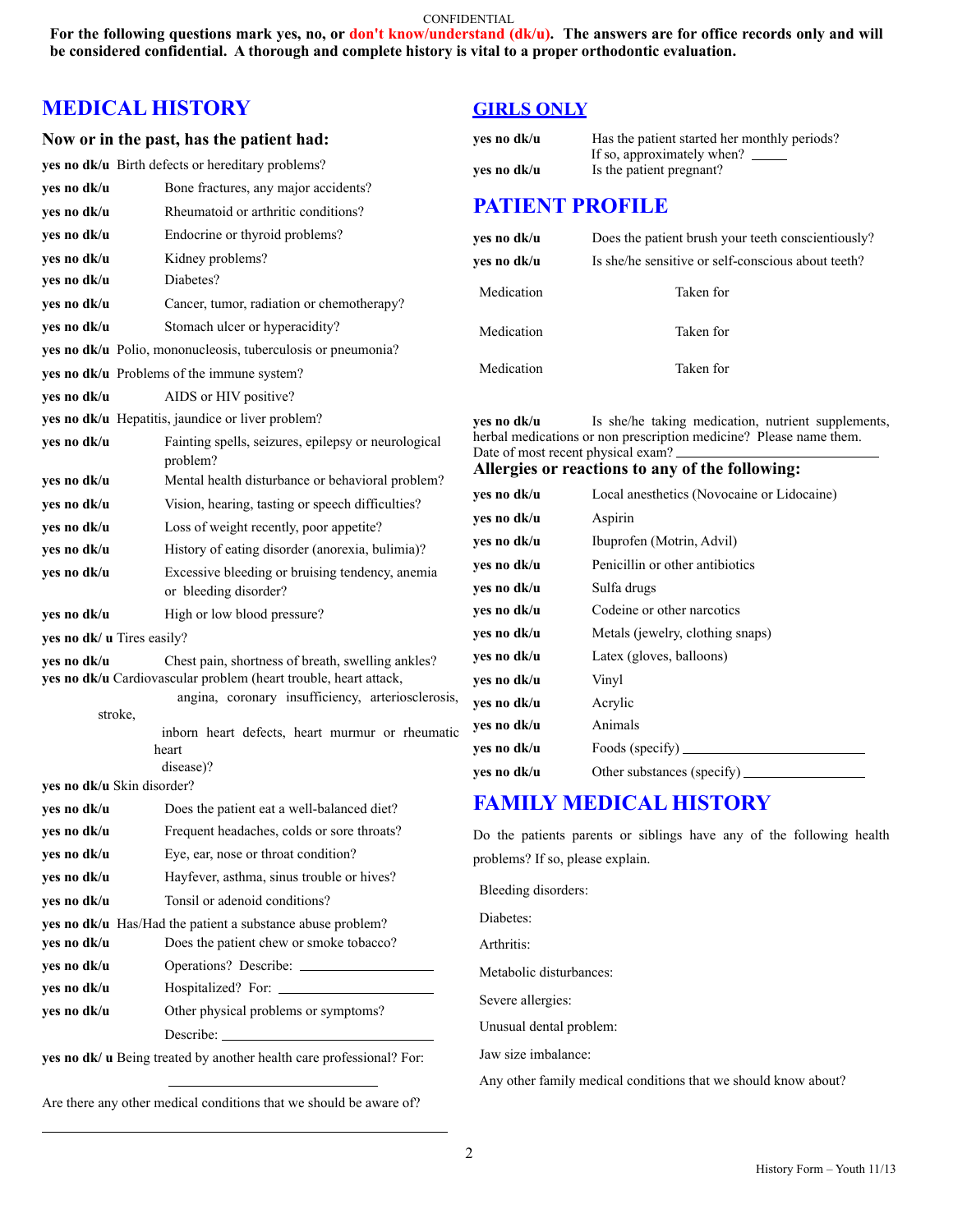#### CONFIDENTIAL

**For the following questions mark yes, no, or don't know/understand (dk/u). The answers are for office records only and will be considered confidential. A thorough and complete history is vital to a proper orthodontic evaluation.** 

## **MEDICAL HISTORY**

#### **Now or in the past, has the patient had:**

**yes no dk/u** Birth defects or hereditary problems?

| yes no dk/u                                                                                                                                                                               | Bone fractures, any major accidents?                                     |  |  |  |
|-------------------------------------------------------------------------------------------------------------------------------------------------------------------------------------------|--------------------------------------------------------------------------|--|--|--|
| yes no dk/u                                                                                                                                                                               | Rheumatoid or arthritic conditions?                                      |  |  |  |
| yes no dk/u                                                                                                                                                                               | Endocrine or thyroid problems?                                           |  |  |  |
| yes no dk/u                                                                                                                                                                               | Kidney problems?                                                         |  |  |  |
| yes no dk/u                                                                                                                                                                               | Diabetes?                                                                |  |  |  |
| yes no dk/u                                                                                                                                                                               | Cancer, tumor, radiation or chemotherapy?                                |  |  |  |
| yes no dk/u                                                                                                                                                                               | Stomach ulcer or hyperacidity?                                           |  |  |  |
|                                                                                                                                                                                           | yes no dk/u Polio, mononucleosis, tuberculosis or pneumonia?             |  |  |  |
|                                                                                                                                                                                           | <b>ves no dk/u</b> Problems of the immune system?                        |  |  |  |
| yes no dk/u                                                                                                                                                                               | AIDS or HIV positive?                                                    |  |  |  |
|                                                                                                                                                                                           | yes no dk/u Hepatitis, jaundice or liver problem?                        |  |  |  |
| yes no dk/u                                                                                                                                                                               | Fainting spells, seizures, epilepsy or neurological<br>problem?          |  |  |  |
| yes no dk/u                                                                                                                                                                               | Mental health disturbance or behavioral problem?                         |  |  |  |
| ves no dk/u                                                                                                                                                                               | Vision, hearing, tasting or speech difficulties?                         |  |  |  |
| yes no dk/u                                                                                                                                                                               | Loss of weight recently, poor appetite?                                  |  |  |  |
| yes no dk/u                                                                                                                                                                               | History of eating disorder (anorexia, bulimia)?                          |  |  |  |
| yes no dk/u                                                                                                                                                                               | Excessive bleeding or bruising tendency, anemia<br>or bleeding disorder? |  |  |  |
| yes no dk/u                                                                                                                                                                               | High or low blood pressure?                                              |  |  |  |
| yes no dk/ u Tires easily?                                                                                                                                                                |                                                                          |  |  |  |
| yes no dk/u<br>Chest pain, shortness of breath, swelling ankles?<br>yes no dk/u Cardiovascular problem (heart trouble, heart attack,<br>angina, coronary insufficiency, arteriosclerosis, |                                                                          |  |  |  |
| stroke,                                                                                                                                                                                   |                                                                          |  |  |  |
|                                                                                                                                                                                           | inborn heart defects, heart murmur or rheumatic                          |  |  |  |
|                                                                                                                                                                                           | heart<br>disease)?                                                       |  |  |  |
| yes no dk/u Skin disorder?                                                                                                                                                                |                                                                          |  |  |  |
| yes no dk/u                                                                                                                                                                               | Does the patient eat a well-balanced diet?                               |  |  |  |
| yes no dk/u                                                                                                                                                                               | Frequent headaches, colds or sore throats?                               |  |  |  |
| yes no dk/u                                                                                                                                                                               | Eye, ear, nose or throat condition?                                      |  |  |  |
| yes no dk/u                                                                                                                                                                               | Hayfever, asthma, sinus trouble or hives?                                |  |  |  |
| yes no dk/u                                                                                                                                                                               | Tonsil or adenoid conditions?                                            |  |  |  |
| yes no dk/u Has/Had the patient a substance abuse problem?                                                                                                                                |                                                                          |  |  |  |
| yes no dk/u                                                                                                                                                                               | Does the patient chew or smoke tobacco?                                  |  |  |  |
| yes no dk/u                                                                                                                                                                               |                                                                          |  |  |  |
| yes no dk/u                                                                                                                                                                               | Hospitalized? For:                                                       |  |  |  |
| yes no dk/u                                                                                                                                                                               | Other physical problems or symptoms?                                     |  |  |  |
|                                                                                                                                                                                           | Describe:                                                                |  |  |  |

**yes no dk/ u** Being treated by another health care professional? For:

Are there any other medical conditions that we should be aware of?

 $\overline{a}$ 

### **GIRLS ONLY**

| yes no dk/u<br>yes no dk/u                                                                                                                                                                                                          | Has the patient started her monthly periods?<br>If so, approximately when? _______<br>Is the patient pregnant? |  |  |  |  |
|-------------------------------------------------------------------------------------------------------------------------------------------------------------------------------------------------------------------------------------|----------------------------------------------------------------------------------------------------------------|--|--|--|--|
|                                                                                                                                                                                                                                     |                                                                                                                |  |  |  |  |
| <b>PATIENT PROFILE</b>                                                                                                                                                                                                              |                                                                                                                |  |  |  |  |
| yes no dk/u                                                                                                                                                                                                                         | Does the patient brush your teeth conscientiously?                                                             |  |  |  |  |
| yes no dk/u                                                                                                                                                                                                                         | Is she/he sensitive or self-conscious about teeth?                                                             |  |  |  |  |
| Medication                                                                                                                                                                                                                          | Taken for                                                                                                      |  |  |  |  |
| Medication                                                                                                                                                                                                                          | Taken for                                                                                                      |  |  |  |  |
| Medication                                                                                                                                                                                                                          | Taken for                                                                                                      |  |  |  |  |
| Is she/he taking medication, nutrient supplements,<br>yes no dk/u<br>herbal medications or non prescription medicine? Please name them.<br>Date of most recent physical exam? __<br>Allergies or reactions to any of the following: |                                                                                                                |  |  |  |  |
| yes no dk/u                                                                                                                                                                                                                         | Local anesthetics (Novocaine or Lidocaine)                                                                     |  |  |  |  |
| yes no dk/u                                                                                                                                                                                                                         | Aspirin                                                                                                        |  |  |  |  |
| yes no dk/u                                                                                                                                                                                                                         | Ibuprofen (Motrin, Advil)<br>Penicillin or other antibiotics                                                   |  |  |  |  |
| yes no dk/u                                                                                                                                                                                                                         |                                                                                                                |  |  |  |  |
| yes no dk/u                                                                                                                                                                                                                         | Sulfa drugs                                                                                                    |  |  |  |  |
| yes no dk/u                                                                                                                                                                                                                         | Codeine or other narcotics                                                                                     |  |  |  |  |
| yes no dk/u                                                                                                                                                                                                                         | Metals (jewelry, clothing snaps)                                                                               |  |  |  |  |
| yes no dk/u                                                                                                                                                                                                                         | Latex (gloves, balloons)                                                                                       |  |  |  |  |
| yes no dk/u                                                                                                                                                                                                                         | Vinyl                                                                                                          |  |  |  |  |
| yes no dk/u                                                                                                                                                                                                                         | Acrylic                                                                                                        |  |  |  |  |
| ves no dk/u                                                                                                                                                                                                                         | Animals                                                                                                        |  |  |  |  |
| ves no dk/u                                                                                                                                                                                                                         | Foods (specify)                                                                                                |  |  |  |  |

**yes no dk/u** Other substances (specify) \_

### **FAMILY MEDICAL HISTORY**

Do the patients parents or siblings have any of the following health problems? If so, please explain.

| Bleeding disorders:     |
|-------------------------|
| Diabetes:               |
| Arthritis:              |
| Metabolic disturbances: |
| Severe allergies:       |
| Unusual dental problem: |
| Jaw size imbalance:     |
|                         |

Any other family medical conditions that we should know about?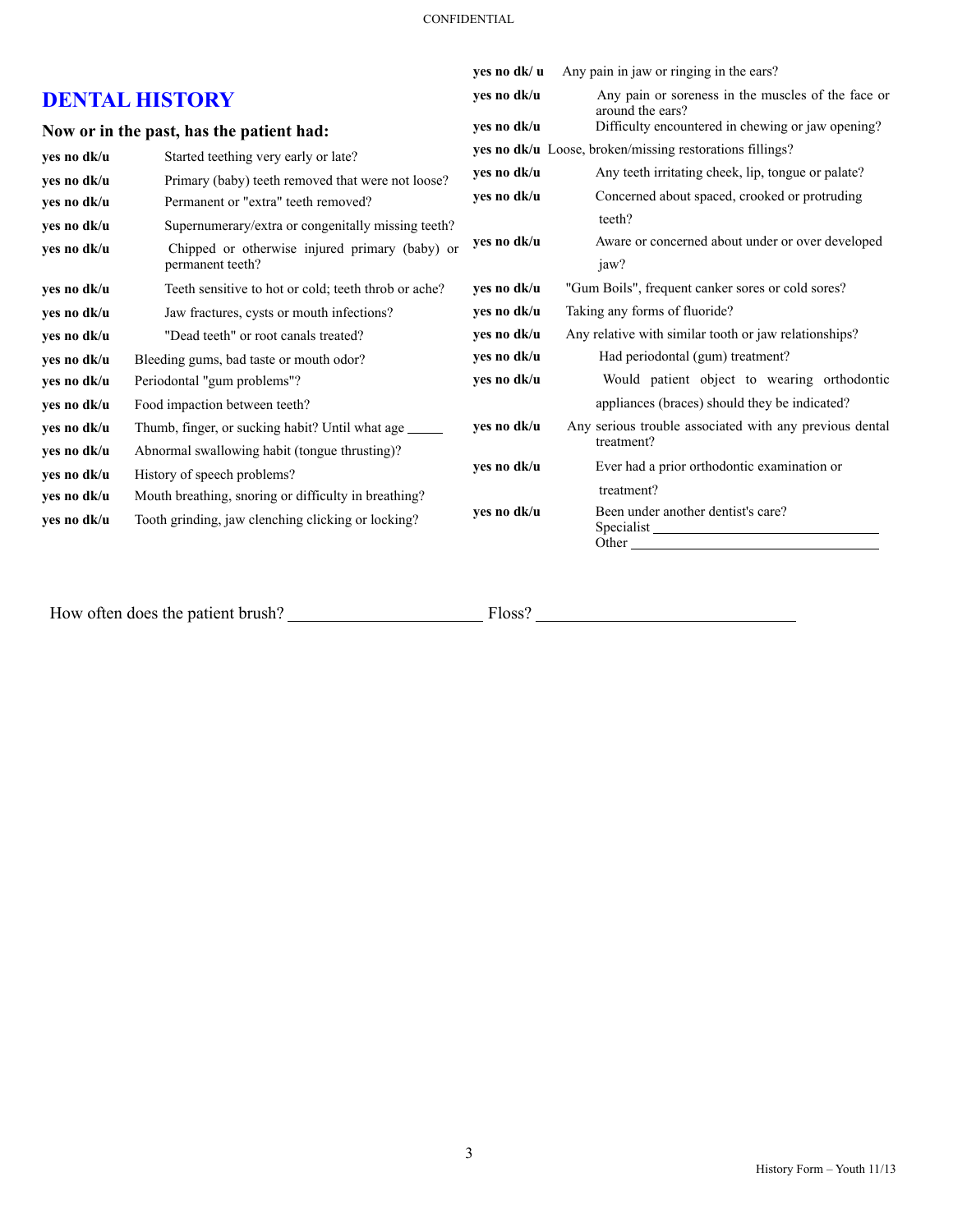|                                          |                                                        | ves no dk/ u                                             | Any pain in jaw or ringing in the ears?                                                                                                                                                                                                                             |
|------------------------------------------|--------------------------------------------------------|----------------------------------------------------------|---------------------------------------------------------------------------------------------------------------------------------------------------------------------------------------------------------------------------------------------------------------------|
| <b>DENTAL HISTORY</b>                    |                                                        | yes no dk/u                                              | Any pain or soreness in the muscles of the face or<br>around the ears?                                                                                                                                                                                              |
| Now or in the past, has the patient had: |                                                        | ves no dk/u                                              | Difficulty encountered in chewing or jaw opening?                                                                                                                                                                                                                   |
| yes no dk/u                              | Started teething very early or late?                   | yes no dk/u Loose, broken/missing restorations fillings? |                                                                                                                                                                                                                                                                     |
| yes no dk/u                              | Primary (baby) teeth removed that were not loose?      | yes no dk/u                                              | Any teeth irritating cheek, lip, tongue or palate?                                                                                                                                                                                                                  |
| yes no dk/u                              | Permanent or "extra" teeth removed?                    | ves no dk/u                                              | Concerned about spaced, crooked or protruding                                                                                                                                                                                                                       |
| yes no dk/u                              | Supernumerary/extra or congenitally missing teeth?     |                                                          | teeth?                                                                                                                                                                                                                                                              |
| yes no dk/u                              | Chipped or otherwise injured primary (baby) or         | ves no dk/u                                              | Aware or concerned about under or over developed                                                                                                                                                                                                                    |
|                                          | permanent teeth?                                       |                                                          | jaw?                                                                                                                                                                                                                                                                |
| yes no dk/u                              | Teeth sensitive to hot or cold; teeth throb or ache?   | yes no dk/u                                              | "Gum Boils", frequent canker sores or cold sores?                                                                                                                                                                                                                   |
| yes no dk/u                              | Jaw fractures, cysts or mouth infections?              | yes no dk/u                                              | Taking any forms of fluoride?                                                                                                                                                                                                                                       |
| yes no dk/u                              | "Dead teeth" or root canals treated?                   | yes no dk/u                                              | Any relative with similar tooth or jaw relationships?                                                                                                                                                                                                               |
| yes no dk/u                              | Bleeding gums, bad taste or mouth odor?                | yes no dk/u                                              | Had periodontal (gum) treatment?                                                                                                                                                                                                                                    |
| yes no dk/u                              | Periodontal "gum problems"?                            | yes no dk/u                                              | Would patient object to wearing orthodontic                                                                                                                                                                                                                         |
| yes no dk/u                              | Food impaction between teeth?                          |                                                          | appliances (braces) should they be indicated?                                                                                                                                                                                                                       |
| yes no dk/u                              | Thumb, finger, or sucking habit? Until what age ______ | yes no dk/u                                              | Any serious trouble associated with any previous dental                                                                                                                                                                                                             |
| yes no dk/u                              | Abnormal swallowing habit (tongue thrusting)?          |                                                          | treatment?                                                                                                                                                                                                                                                          |
| ves no dk/u                              | History of speech problems?                            | yes no dk/u                                              | Ever had a prior orthodontic examination or                                                                                                                                                                                                                         |
| yes no dk/u                              | Mouth breathing, snoring or difficulty in breathing?   |                                                          | treatment?                                                                                                                                                                                                                                                          |
| yes no dk/u                              | Tooth grinding, jaw clenching clicking or locking?     | yes no dk/u                                              | Been under another dentist's care?<br>Other and the contract of the contract of the contract of the contract of the contract of the contract of the contract of the contract of the contract of the contract of the contract of the contract of the contract of the |
|                                          |                                                        |                                                          |                                                                                                                                                                                                                                                                     |

How often does the patient brush? Floss?